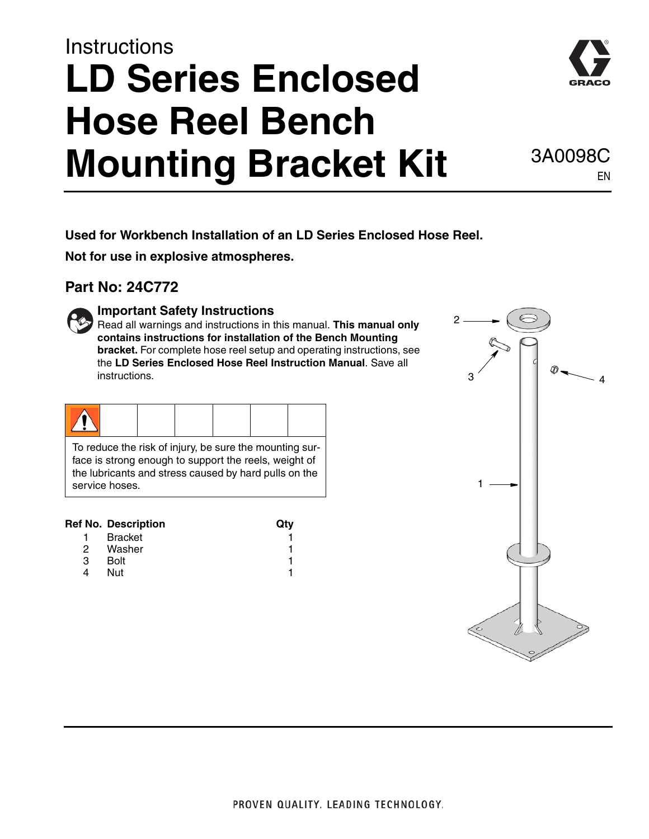# **Instructions LD Series Enclosed Hose Reel Bench Mounting Bracket Kit** 3A0098C



EN

**Used for Workbench Installation of an LD Series Enclosed Hose Reel.** 

**Not for use in explosive atmospheres.**

### **Part No: 24C772**



### **Important Safety Instructions**

Read all warnings and instructions in this manual. **This manual only contains instructions for installation of the Bench Mounting bracket.** For complete hose reel setup and operating instructions, see the **LD Series Enclosed Hose Reel Instruction Manual**. Save all instructions.

To reduce the risk of injury, be sure the mounting surface is strong enough to support the reels, weight of the lubricants and stress caused by hard pulls on the service hoses.

### **Ref No. Description Carry Carry Carry Carry Carry Carry Carry Carry Carry Carry Carry Carry Carry Carry Carry Carry Carry Carry Carry Carry Carry Carry Carry Carry Carry Carry Carry Carry Carry Carry Carry Carry Carry Car**

| <b>Bracket</b> |  |
|----------------|--|
| Washer         |  |
| <b>Bolt</b>    |  |
| Nut            |  |
|                |  |

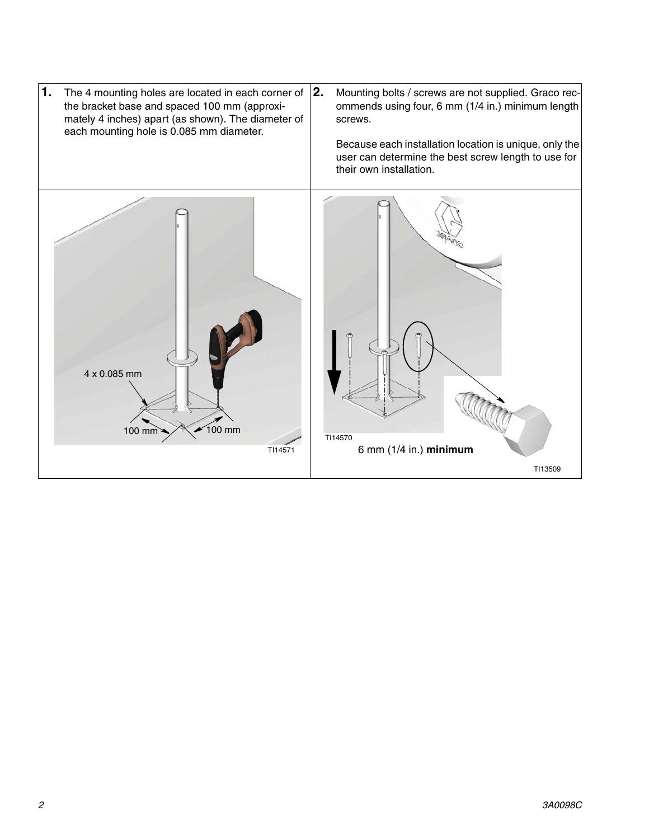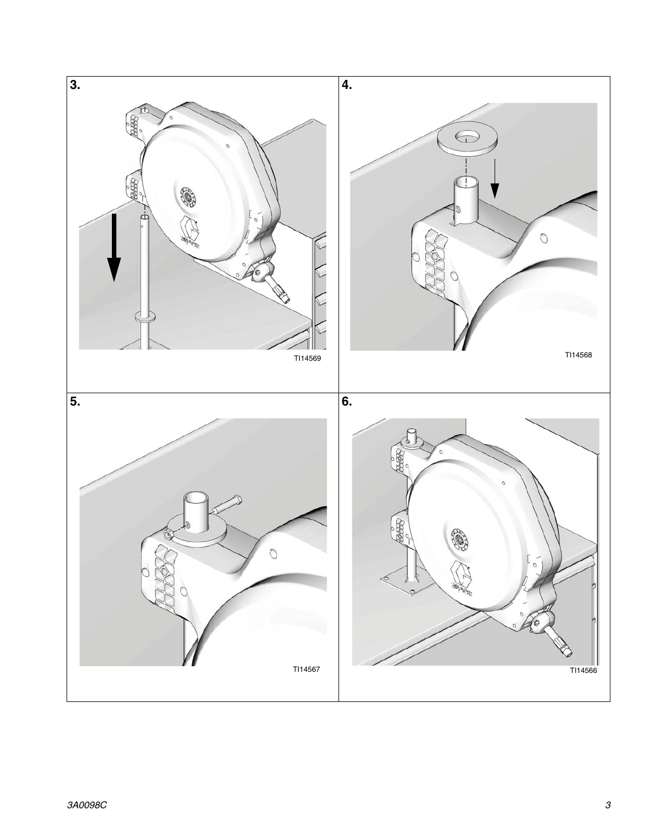